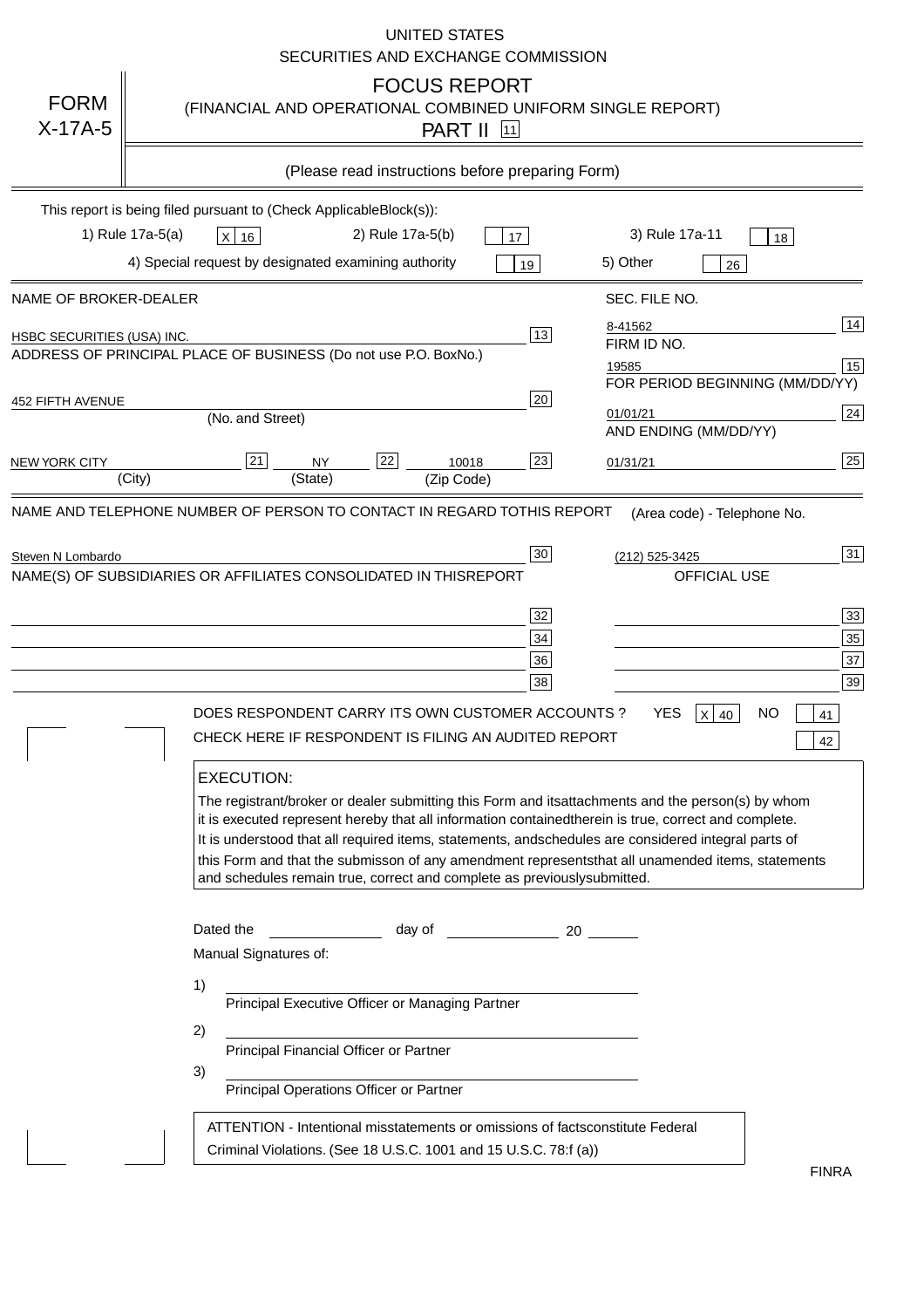|                                                              | <b>UNITED STATES</b><br>SECURITIES AND EXCHANGE COMMISSION                                                                                                                                                                                                                                                                                                                                                                                                                                                                                                                                                                                                                                                                                                                                                                                                               |
|--------------------------------------------------------------|--------------------------------------------------------------------------------------------------------------------------------------------------------------------------------------------------------------------------------------------------------------------------------------------------------------------------------------------------------------------------------------------------------------------------------------------------------------------------------------------------------------------------------------------------------------------------------------------------------------------------------------------------------------------------------------------------------------------------------------------------------------------------------------------------------------------------------------------------------------------------|
| <b>FORM</b><br>$X-17A-5$                                     | <b>FOCUS REPORT</b><br>(FINANCIAL AND OPERATIONAL COMBINED UNIFORM SINGLE REPORT)<br><b>PART II</b> 11                                                                                                                                                                                                                                                                                                                                                                                                                                                                                                                                                                                                                                                                                                                                                                   |
|                                                              | (Please read instructions before preparing Form)                                                                                                                                                                                                                                                                                                                                                                                                                                                                                                                                                                                                                                                                                                                                                                                                                         |
|                                                              | This report is being filed pursuant to (Check Applicable<br>$Block(s)$ :<br>3) Rule 17a-11<br>1) Rule 17a-5(a)<br>2) Rule 17a-5(b)<br>$X$ 16<br>17<br>18<br>4) Special request by designated examining authority<br>5) Other                                                                                                                                                                                                                                                                                                                                                                                                                                                                                                                                                                                                                                             |
| NAME OF BROKER-DEALER                                        | 19<br>26<br>SEC. FILE NO.                                                                                                                                                                                                                                                                                                                                                                                                                                                                                                                                                                                                                                                                                                                                                                                                                                                |
| <b>HSBC SECURITIES (USA) INC.</b><br><b>452 FIFTH AVENUE</b> | 14<br>8-41562<br>13<br>FIRM ID NO.<br>ADDRESS OF PRINCIPAL PLACE OF BUSINESS (Do not use P.O. Box<br>No.)<br>15<br>19585<br>FOR PERIOD BEGINNING (MM/DD/YY)<br>20                                                                                                                                                                                                                                                                                                                                                                                                                                                                                                                                                                                                                                                                                                        |
|                                                              | 24<br>01/01/21<br>(No. and Street)<br>AND ENDING (MM/DD/YY)                                                                                                                                                                                                                                                                                                                                                                                                                                                                                                                                                                                                                                                                                                                                                                                                              |
| <b>NEW YORK CITY</b>                                         | 25<br>22<br>21<br>23<br><b>NY</b><br>10018<br>01/31/21<br>(City)<br>(State)<br>(Zip Code)                                                                                                                                                                                                                                                                                                                                                                                                                                                                                                                                                                                                                                                                                                                                                                                |
|                                                              | NAME(S) OF SUBSIDIARIES OR AFFILIATES CONSOLIDATED IN THIS<br><b>REPORT</b><br><b>OFFICIAL USE</b><br>$\overline{33}$<br>32<br>35<br>34<br>37<br>36<br>39<br>38<br>DOES RESPONDENT CARRY ITS OWN CUSTOMER ACCOUNTS?<br><b>YES</b><br>$X$ 40<br><b>NO</b><br>41<br>CHECK HERE IF RESPONDENT IS FILING AN AUDITED REPORT<br>42<br><b>EXECUTION:</b><br>The registrant/broker or dealer submitting this Form and its<br>attachments and the person(s) by whom<br>it is executed represent hereby that all information contained<br>therein is true, correct and complete.<br>It is understood that all required items, statements, and<br>schedules are considered integral parts of<br>this Form and that the submisson of any amendment represents<br>that all unamended items, statements<br>and schedules remain true, correct and complete as previously<br>submitted. |
|                                                              | Dated the<br>day of<br>20<br>Manual Signatures of:<br>1)<br>Principal Executive Officer or Managing Partner<br>2)<br>Principal Financial Officer or Partner<br>3)<br>Principal Operations Officer or Partner                                                                                                                                                                                                                                                                                                                                                                                                                                                                                                                                                                                                                                                             |
|                                                              | ATTENTION - Intentional misstatements or omissions of facts<br>constitute Federal<br>Criminal Violations. (See 18 U.S.C. 1001 and 15 U.S.C. 78:f (a)<br>$\lambda$<br><b>FINRA</b>                                                                                                                                                                                                                                                                                                                                                                                                                                                                                                                                                                                                                                                                                        |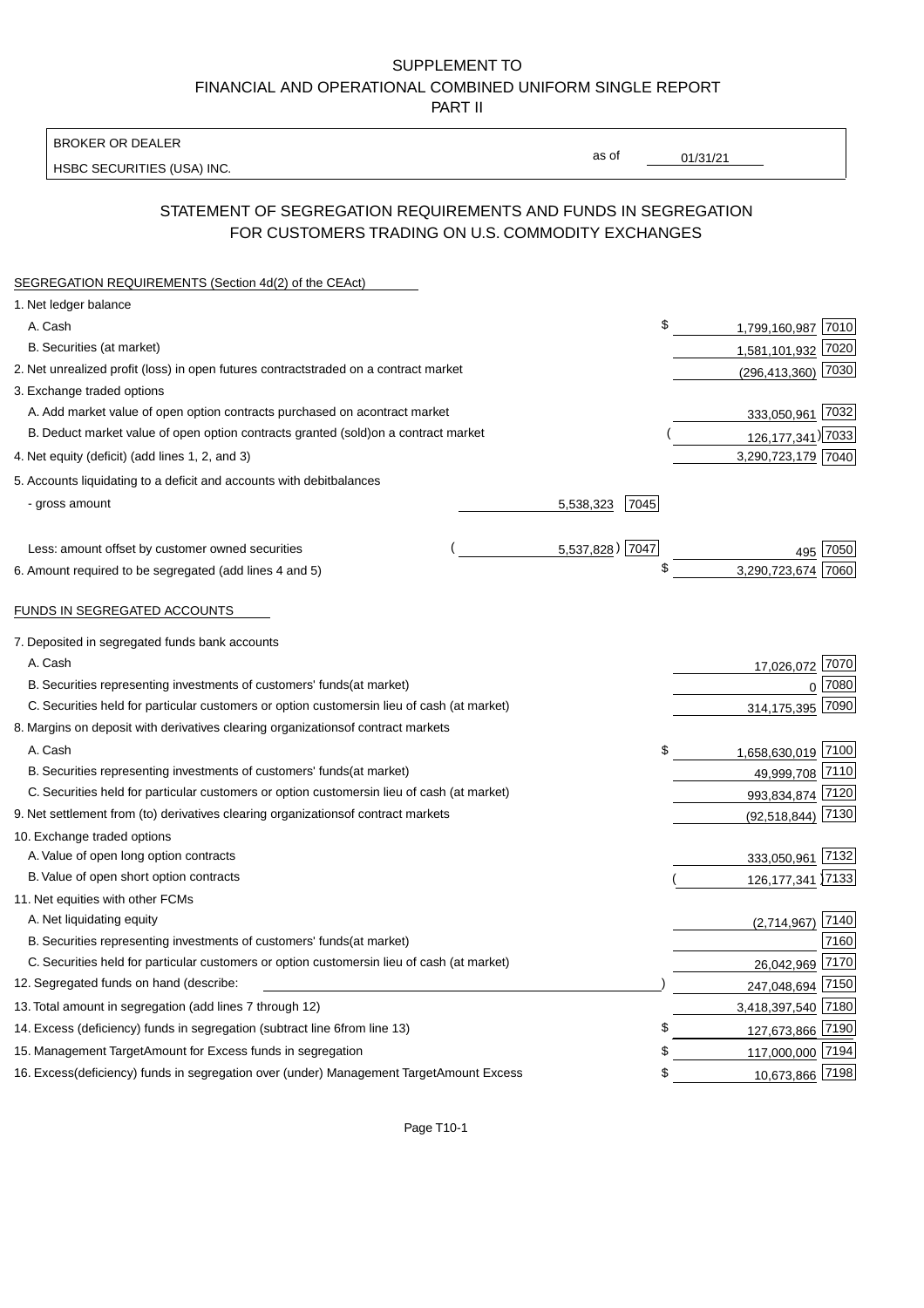BROKER OR DEALER

HSBC SECURITIES (USA) INC.

 $01/31/21$ 

as of

## STATEMENT OF SEGREGATION REQUIREMENTS AND FUNDS IN SEGREGATION FOR CUSTOMERS TRADING ON U.S. COMMODITY EXCHANGES

| SEGREGATION REQUIREMENTS (Section 4d(2) of the CEAct)                                          |                   |    |                        |      |
|------------------------------------------------------------------------------------------------|-------------------|----|------------------------|------|
| 1. Net ledger balance                                                                          |                   |    |                        |      |
| A. Cash                                                                                        |                   | \$ | 1,799,160,987 7010     |      |
| B. Securities (at market)                                                                      |                   |    | 1,581,101,932 7020     |      |
| 2. Net unrealized profit (loss) in open futures contracts<br>traded on a contract market       |                   |    | $(296, 413, 360)$ 7030 |      |
| 3. Exchange traded options                                                                     |                   |    |                        |      |
| A. Add market value of open option contracts purchased on a<br>contract market                 |                   |    | 333,050,961 7032       |      |
| B. Deduct market value of open option contracts granted (sold)<br>on a contract market         |                   |    | 126, 177, 341) 7033    |      |
| 4. Net equity (deficit) (add lines 1, 2, and 3)                                                |                   |    | 3,290,723,179 7040     |      |
| 5. Accounts liquidating to a deficit and accounts with debit<br>balances                       |                   |    |                        |      |
| - gross amount                                                                                 | 7045<br>5,538,323 |    |                        |      |
|                                                                                                |                   |    |                        |      |
| Less: amount offset by customer owned securities                                               | 5,537,828) 7047   |    |                        | 7050 |
| 6. Amount required to be segregated (add lines 4 and 5)                                        |                   | \$ | 3,290,723,674          | 7060 |
|                                                                                                |                   |    |                        |      |
| FUNDS IN SEGREGATED ACCOUNTS                                                                   |                   |    |                        |      |
| 7. Deposited in segregated funds bank accounts                                                 |                   |    |                        |      |
| A. Cash                                                                                        |                   |    | 17,026,072 7070        |      |
| B. Securities representing investments of customers' funds<br>(at market)                      |                   |    | $\mathbf{0}$           | 7080 |
| C. Securities held for particular customers or option customers<br>in lieu of cash (at market) |                   |    | 314,175,395            | 7090 |
| 8. Margins on deposit with derivatives clearing organizations<br>of contract markets           |                   |    |                        |      |
| A. Cash                                                                                        |                   | \$ | 1,658,630,019 7100     |      |
| B. Securities representing investments of customers' funds<br>(at market)                      |                   |    | 49,999,708 7110        |      |
| C. Securities held for particular customers or option customers<br>in lieu of cash (at market) |                   |    | 993,834,874 7120       |      |
| 9. Net settlement from (to) derivatives clearing organizations<br>of contract markets          |                   |    | (92, 518, 844)         | 7130 |
| 10. Exchange traded options                                                                    |                   |    |                        |      |
| A. Value of open long option contracts                                                         |                   |    | 333,050,961 7132       |      |
| B. Value of open short option contracts                                                        |                   |    | 126, 177, 341 7133     |      |
| 11. Net equities with other FCMs                                                               |                   |    |                        |      |
| A. Net liquidating equity                                                                      |                   |    | (2,714,967)            | 7140 |
| B. Securities representing investments of customers' funds<br>(at market)                      |                   |    |                        | 7160 |
| C. Securities held for particular customers or option customers<br>in lieu of cash (at market) |                   |    | 26,042,969 7170        |      |
| 12. Segregated funds on hand (describe:                                                        |                   |    | 247,048,694 7150       |      |
| 13. Total amount in segregation (add lines 7 through 12)                                       |                   |    | 3,418,397,540 7180     |      |
| 14. Excess (deficiency) funds in segregation (subtract line 6 from line 13)                    |                   | £  | 127,673,866 7190       |      |
| 15. Management Target Amount for Excess funds in segregation                                   |                   | \$ | 117,000,000 7194       |      |
| 16. Excess (deficiency) funds in segregation over (under) Management Target Amount Excess      |                   | \$ | 10,673,866 7198        |      |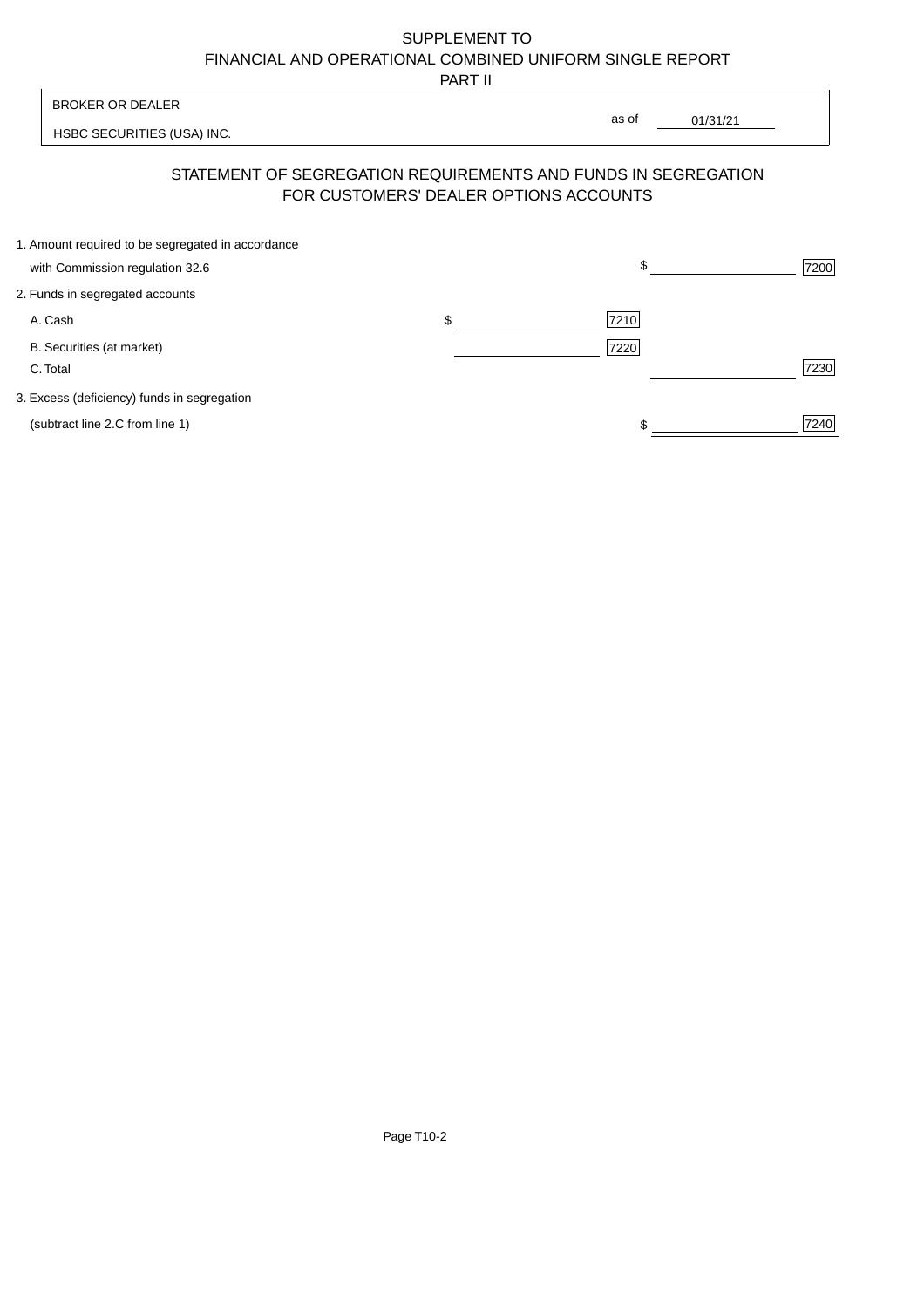PART II

| <b>BROKER OR DEALER</b>                                                                                  | as of |          |      |
|----------------------------------------------------------------------------------------------------------|-------|----------|------|
| HSBC SECURITIES (USA) INC.                                                                               |       | 01/31/21 |      |
| STATEMENT OF SEGREGATION REQUIREMENTS AND FUNDS IN SEGREGATION<br>FOR CUSTOMERS' DEALER OPTIONS ACCOUNTS |       |          |      |
| 1. Amount required to be segregated in accordance<br>with Commission regulation 32.6                     |       |          | 7200 |
| 2. Funds in segregated accounts                                                                          |       |          |      |

| A. Cash                                     | S | 7210 |  |
|---------------------------------------------|---|------|--|
| B. Securities (at market)                   |   | 7220 |  |
| C. Total                                    |   | 7230 |  |
| 3. Excess (deficiency) funds in segregation |   |      |  |
| (subtract line 2.C from line 1)             |   | 7240 |  |

Page T10-2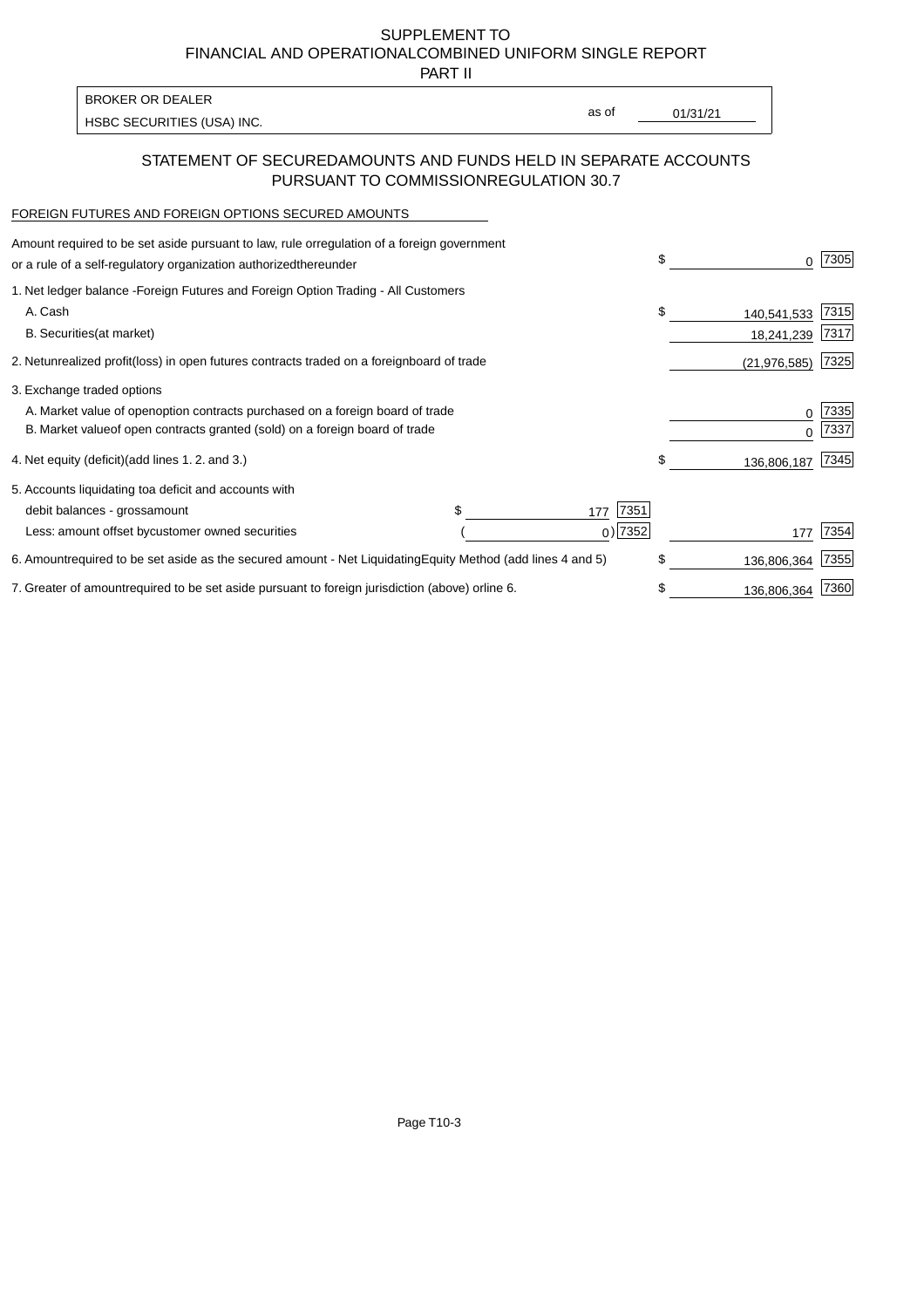PART II

HSBC SECURITIES (USA) INC. The state of the second second in the second second second in the second second second second second second second second second second second second second second second second second second sec BROKER OR DEALER

as of

## STATEMENT OF SECURED AMOUNTS AND FUNDS HELD IN SEPARATE ACCOUNTS PURSUANT TO COMMISSION REGULATION 30.7

#### FOREIGN FUTURES AND FOREIGN OPTIONS SECURED AMOUNTS

| regulation of a foreign government<br>Amount required to be set aside pursuant to law, rule or<br>or a rule of a self-regulatory organization authorized<br>thereunder                       | \$ |                           | 7305         |
|----------------------------------------------------------------------------------------------------------------------------------------------------------------------------------------------|----|---------------------------|--------------|
| 1. Net ledger balance - Foreign Futures and Foreign Option Trading - All Customers<br>A. Cash<br><b>B.</b> Securities<br>(at market)                                                         | \$ | 140,541,533<br>18,241,239 | 7315<br>7317 |
| unrealized profit (loss) in open futures contracts traded on a foreign board of trade<br>2. Net                                                                                              |    | (21, 976, 585)            | 7325         |
| 3. Exchange traded options<br>A. Market value of open option contracts purchased on a foreign board of trade<br>B. Market value of open contracts granted (sold) on a foreign board of trade |    | O                         | 7335<br>7337 |
| (add lines 1.2. and 3.)<br>4. Net equity (deficit)                                                                                                                                           | \$ | 136,806,187               | 7345         |
| 5. Accounts liquidating to<br>a deficit and accounts with<br>7351<br>debit balances - gross<br>amount<br>177<br>$0)$ 7352<br>Less: amount offset by customer owned securities                |    | 177                       | 7354         |
| 6. Amount required to be set aside as the secured amount - Net Liquidating<br>Equity Method (add lines 4 and 5)                                                                              | \$ | 136,806,364               | 7355         |
| 7. Greater of amount required to be set aside pursuant to foreign jurisdiction (above) or<br>line 6.                                                                                         | S  | 136,806,364               | 7360         |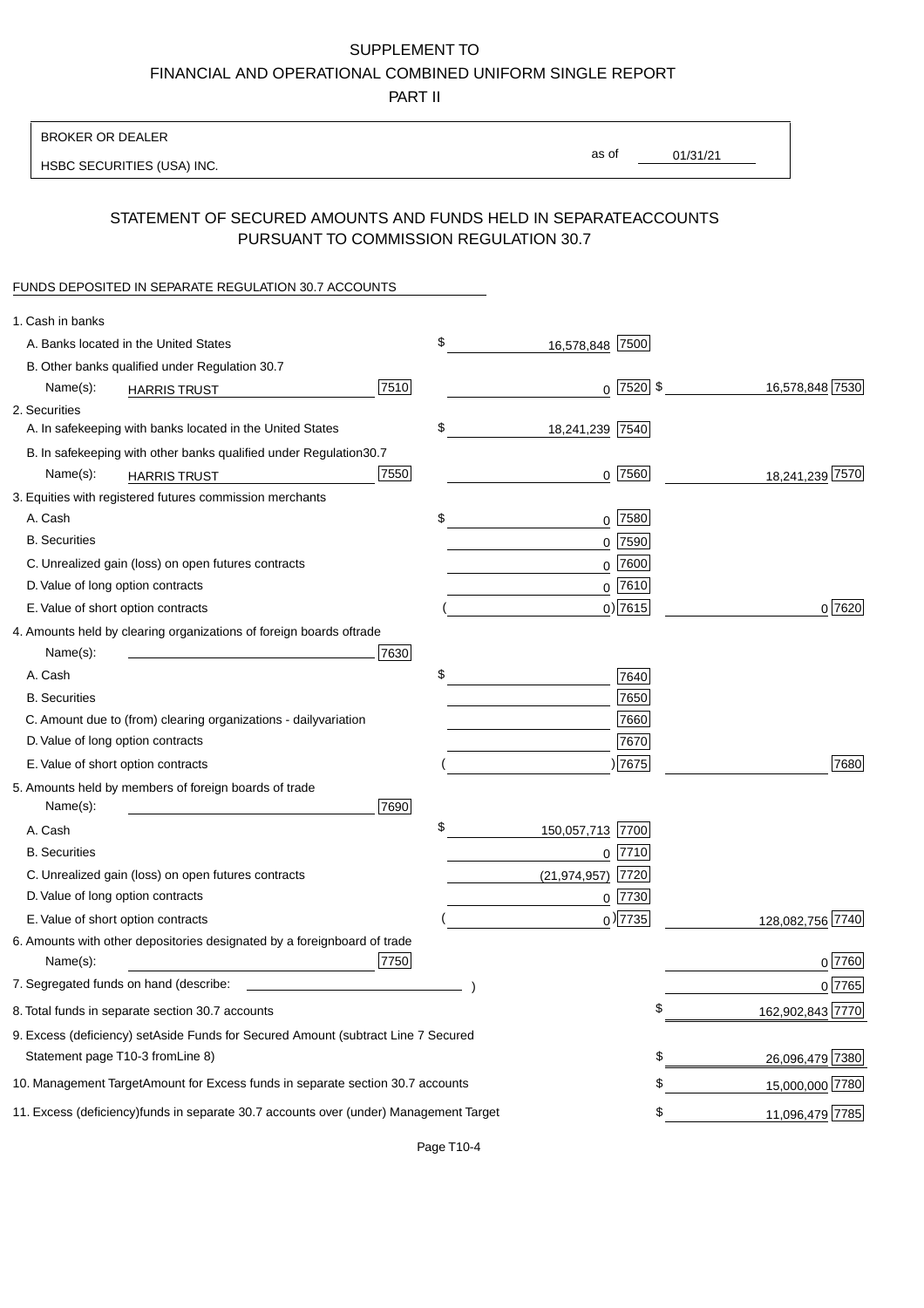PART II

| <b>BROKER OR DEALER</b>                                                                                                                    |                        |                 |                  |
|--------------------------------------------------------------------------------------------------------------------------------------------|------------------------|-----------------|------------------|
| HSBC SECURITIES (USA) INC.                                                                                                                 | as of                  | 01/31/21        |                  |
|                                                                                                                                            |                        |                 |                  |
| STATEMENT OF SECURED AMOUNTS AND FUNDS HELD IN SEPARATE<br>PURSUANT TO COMMISSION REGULATION 30.7                                          |                        | <b>ACCOUNTS</b> |                  |
| FUNDS DEPOSITED IN SEPARATE REGULATION 30.7 ACCOUNTS                                                                                       |                        |                 |                  |
| 1. Cash in banks                                                                                                                           |                        |                 |                  |
| A. Banks located in the United States                                                                                                      | \$<br>16,578,848 7500  |                 |                  |
| B. Other banks qualified under Regulation 30.7                                                                                             |                        |                 |                  |
| 7510<br>Name(s):<br><b>HARRIS TRUST</b>                                                                                                    | $0$   7520   \$        |                 | 16,578,848 7530  |
| 2. Securities                                                                                                                              |                        |                 |                  |
| A. In safekeeping with banks located in the United States                                                                                  | \$<br>18,241,239 7540  |                 |                  |
| B. In safekeeping with other banks qualified under Regulation<br>30.7                                                                      |                        |                 |                  |
| 7550<br>Name(s):<br><b>HARRIS TRUST</b>                                                                                                    | $0$ 7560               |                 | 18,241,239 7570  |
| 3. Equities with registered futures commission merchants                                                                                   |                        |                 |                  |
| A. Cash                                                                                                                                    | \$<br>$0$ 7580         |                 |                  |
| <b>B.</b> Securities                                                                                                                       | $0$ 7590               |                 |                  |
| C. Unrealized gain (loss) on open futures contracts                                                                                        | 7600<br>0              |                 |                  |
| D. Value of long option contracts                                                                                                          | $0$ 7610               |                 |                  |
| E. Value of short option contracts                                                                                                         | $0$ ) 7615             |                 | 0 7620           |
| 4. Amounts held by clearing organizations of foreign boards of<br>trade                                                                    |                        |                 |                  |
| Name(s):<br>7630                                                                                                                           |                        |                 |                  |
| A. Cash                                                                                                                                    | \$<br>7640             |                 |                  |
| <b>B.</b> Securities                                                                                                                       | 7650                   |                 |                  |
| C. Amount due to (from) clearing organizations - daily<br>variation                                                                        | 7660                   |                 |                  |
| D. Value of long option contracts                                                                                                          | 7670                   |                 |                  |
| E. Value of short option contracts                                                                                                         | 7675                   |                 | 7680             |
| 5. Amounts held by members of foreign boards of trade<br>Name(s):<br>7690                                                                  |                        |                 |                  |
| A. Cash                                                                                                                                    | \$<br>150,057,713 7700 |                 |                  |
| <b>B.</b> Securities                                                                                                                       | $0$  7710              |                 |                  |
| C. Unrealized gain (loss) on open futures contracts                                                                                        | (21,974,957) 7720      |                 |                  |
| D. Value of long option contracts                                                                                                          | $0$  7730              |                 |                  |
| E. Value of short option contracts                                                                                                         | $_0$ ) 7735            |                 | 128,082,756 7740 |
| 6. Amounts with other depositories designated by a foreign<br>board of trade<br>7750<br>Name(s):                                           |                        |                 | 07760            |
| 7. Segregated funds on hand (describe:<br><u>experience</u> and the control of the control of the control of the control of the control of |                        |                 | 0 7765           |
| 8. Total funds in separate section 30.7 accounts                                                                                           |                        | \$              | 162,902,843 7770 |
| 9. Excess (deficiency) set Aside Funds for Secured Amount (subtract Line 7 Secured                                                         |                        |                 |                  |
| Statement page T10-3 from Line 8)                                                                                                          |                        | \$              | 26,096,479 7380  |
| 10. Management Target Amount for Excess funds in separate section 30.7 accounts                                                            |                        | \$              | 15,000,000 7780  |
|                                                                                                                                            |                        |                 |                  |
| 11. Excess (deficiency) funds in separate 30.7 accounts over (under) Management Target                                                     |                        | \$              | 11,096,479 7785  |

Page T10-4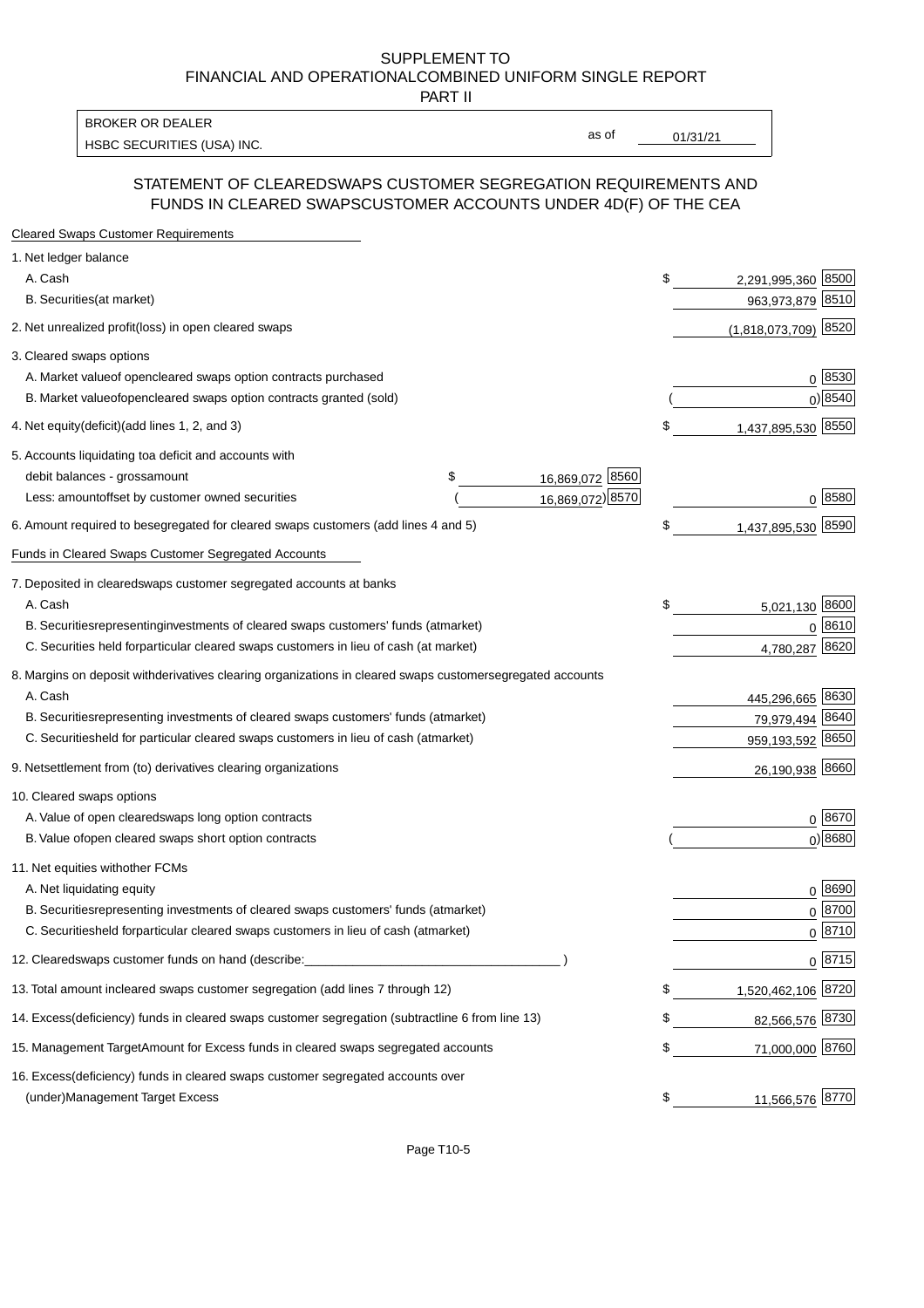PART II

HSBC SECURITIES (USA) INC. The contract of the contract of the contract of the contract of the contract of the contract of the contract of the contract of the contract of the contract of the contract of the contract of the BROKER OR DEALER

as of

### STATEMENT OF CLEARED SWAPS CUSTOMER SEGREGATION REQUIREMENTS AND FUNDS IN CLEARED SWAPS CUSTOMER ACCOUNTS UNDER 4D(F) OF THE CEA

| <b>Cleared Swaps Customer Requirements</b>                                                                  |    |                        |
|-------------------------------------------------------------------------------------------------------------|----|------------------------|
| 1. Net ledger balance                                                                                       |    |                        |
| A. Cash                                                                                                     | \$ | 2,291,995,360 8500     |
| B. Securities (at market)                                                                                   |    | 8510<br>963,973,879    |
| 2. Net unrealized profit (loss) in open cleared swaps                                                       |    | $(1,818,073,709)$ 8520 |
| 3. Cleared swaps options                                                                                    |    |                        |
| A. Market value of open cleared swaps option contracts purchased                                            |    | 0   8530               |
| B. Market value of open cleared swaps option contracts granted (sold)                                       |    | $0)$ 8540              |
| 4. Net equity (deficit) (add lines 1, 2, and 3)                                                             | \$ | 1,437,895,530 8550     |
| 5. Accounts liquidating to a deficit and accounts with                                                      |    |                        |
| 16,869,072 8560<br>debit balances - gross<br>\$<br>amount                                                   |    |                        |
| 16,869,072) 8570<br>Less: amount offset by customer owned securities                                        |    | 0 8580                 |
| 6. Amount required to be segregated for cleared swaps customers (add lines 4 and 5)                         | S  | 1,437,895,530 8590     |
| Funds in Cleared Swaps Customer Segregated Accounts                                                         |    |                        |
| 7. Deposited in cleared swaps customer segregated accounts at banks                                         |    |                        |
| A. Cash                                                                                                     | \$ | 5,021,130 8600         |
| B. Securities representing investments of cleared swaps customers' funds (at market)                        |    | $0^{8610}$             |
| C. Securities held for particular cleared swaps customers in lieu of cash (at market)                       |    | 8620<br>4,780,287      |
| 8. Margins on deposit with derivatives clearing organizations in cleared swaps customer segregated accounts |    |                        |
| A. Cash                                                                                                     |    | 445,296,665 8630       |
| representing investments of cleared swaps customers' funds (at market)<br><b>B.</b> Securities              |    | 79,979,494 8640        |
| C. Securities held for particular cleared swaps customers in lieu of cash (at market)                       |    | 959,193,592 8650       |
| 9. Net settlement from (to) derivatives clearing organizations                                              |    | 26,190,938 8660        |
| 10. Cleared swaps options                                                                                   |    |                        |
| A. Value of open cleared swaps long option contracts                                                        |    | $0^{8670}$             |
| B. Value of open cleared swaps short option contracts                                                       |    | $0$ ) 8680             |
| 11. Net equities with other FCMs                                                                            |    |                        |
| A. Net liquidating equity                                                                                   |    | $0^{8690}$             |
| B. Securities representing investments of cleared swaps customers' funds (at market)                        |    | $0 \; 8700$            |
| C. Securities held for particular cleared swaps customers in lieu of cash (at market)                       |    | 0 8710                 |
| 12. Cleared swaps customer funds on hand (describe:                                                         |    | $0 \;  8715 $          |
| 13. Total amount in cleared swaps customer segregation (add lines 7 through 12)                             | S  | 1,520,462,106 8720     |
| 14. Excess (deficiency) funds in cleared swaps customer segregation (subtract line 6 from line 13)          |    | 82,566,576 8730        |
| 15. Management Target Amount for Excess funds in cleared swaps segregated accounts                          | \$ | 71,000,000 8760        |
| 16. Excess<br>(deficiency) funds in cleared swaps customer segregated accounts over                         |    |                        |
| <b>Management Target Excess</b><br>(under)                                                                  | \$ | 11,566,576 8770        |